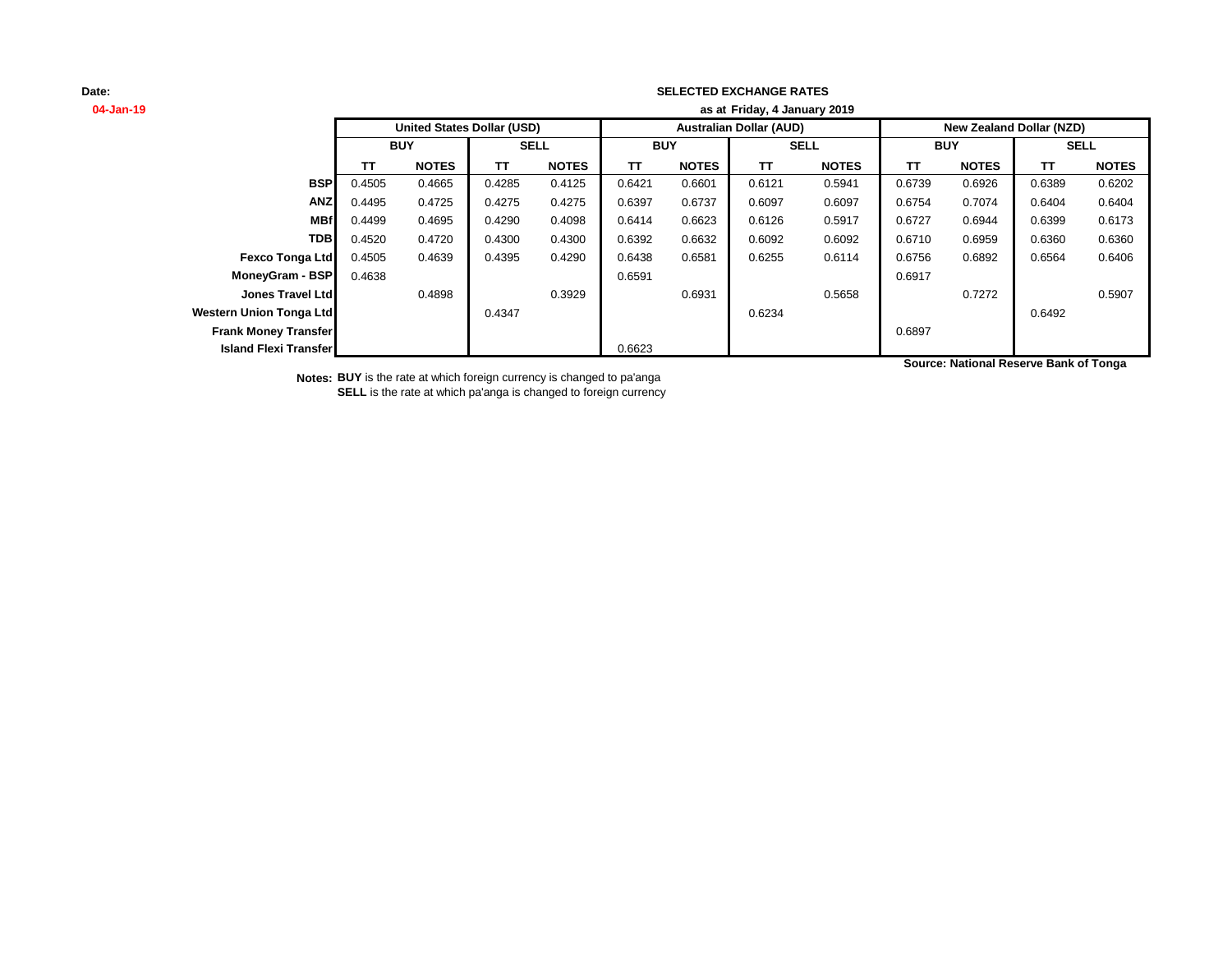# **SELECTED EXCHANGE RATES**

| 04-Jan-19                      | as at Friday, 4 January 2019 |                                   |             |              |            |              |                                |              |                                 |              |             |              |
|--------------------------------|------------------------------|-----------------------------------|-------------|--------------|------------|--------------|--------------------------------|--------------|---------------------------------|--------------|-------------|--------------|
|                                |                              | <b>United States Dollar (USD)</b> |             |              |            |              | <b>Australian Dollar (AUD)</b> |              | <b>New Zealand Dollar (NZD)</b> |              |             |              |
|                                | <b>BUY</b>                   |                                   | <b>SELL</b> |              | <b>BUY</b> |              | <b>SELL</b>                    |              | <b>BUY</b>                      |              | <b>SELL</b> |              |
|                                | <b>TT</b>                    | <b>NOTES</b>                      | <b>TT</b>   | <b>NOTES</b> | TΤ         | <b>NOTES</b> | TΤ                             | <b>NOTES</b> | TΤ                              | <b>NOTES</b> | TΤ          | <b>NOTES</b> |
| <b>BSP</b>                     | 0.4505                       | 0.4665                            | 0.4285      | 0.4125       | 0.6421     | 0.6601       | 0.6121                         | 0.5941       | 0.6739                          | 0.6926       | 0.6389      | 0.6202       |
| <b>ANZ</b>                     | 0.4495                       | 0.4725                            | 0.4275      | 0.4275       | 0.6397     | 0.6737       | 0.6097                         | 0.6097       | 0.6754                          | 0.7074       | 0.6404      | 0.6404       |
| <b>MBf</b>                     | 0.4499                       | 0.4695                            | 0.4290      | 0.4098       | 0.6414     | 0.6623       | 0.6126                         | 0.5917       | 0.6727                          | 0.6944       | 0.6399      | 0.6173       |
| <b>TDBI</b>                    | 0.4520                       | 0.4720                            | 0.4300      | 0.4300       | 0.6392     | 0.6632       | 0.6092                         | 0.6092       | 0.6710                          | 0.6959       | 0.6360      | 0.6360       |
| <b>Fexco Tonga Ltd</b>         | 0.4505                       | 0.4639                            | 0.4395      | 0.4290       | 0.6438     | 0.6581       | 0.6255                         | 0.6114       | 0.6756                          | 0.6892       | 0.6564      | 0.6406       |
| <b>MoneyGram - BSP</b>         | 0.4638                       |                                   |             |              | 0.6591     |              |                                |              | 0.6917                          |              |             |              |
| Jones Travel Ltd               |                              | 0.4898                            |             | 0.3929       |            | 0.6931       |                                | 0.5658       |                                 | 0.7272       |             | 0.5907       |
| <b>Western Union Tonga Ltd</b> |                              |                                   | 0.4347      |              |            |              | 0.6234                         |              |                                 |              | 0.6492      |              |
| <b>Frank Money Transfer</b>    |                              |                                   |             |              |            |              |                                |              | 0.6897                          |              |             |              |
| <b>Island Flexi Transfer</b>   |                              |                                   |             |              | 0.6623     |              |                                |              |                                 |              |             |              |

**Notes: BUY** is the rate at which foreign currency is changed to pa'anga **SELL** is the rate at which pa'anga is changed to foreign currency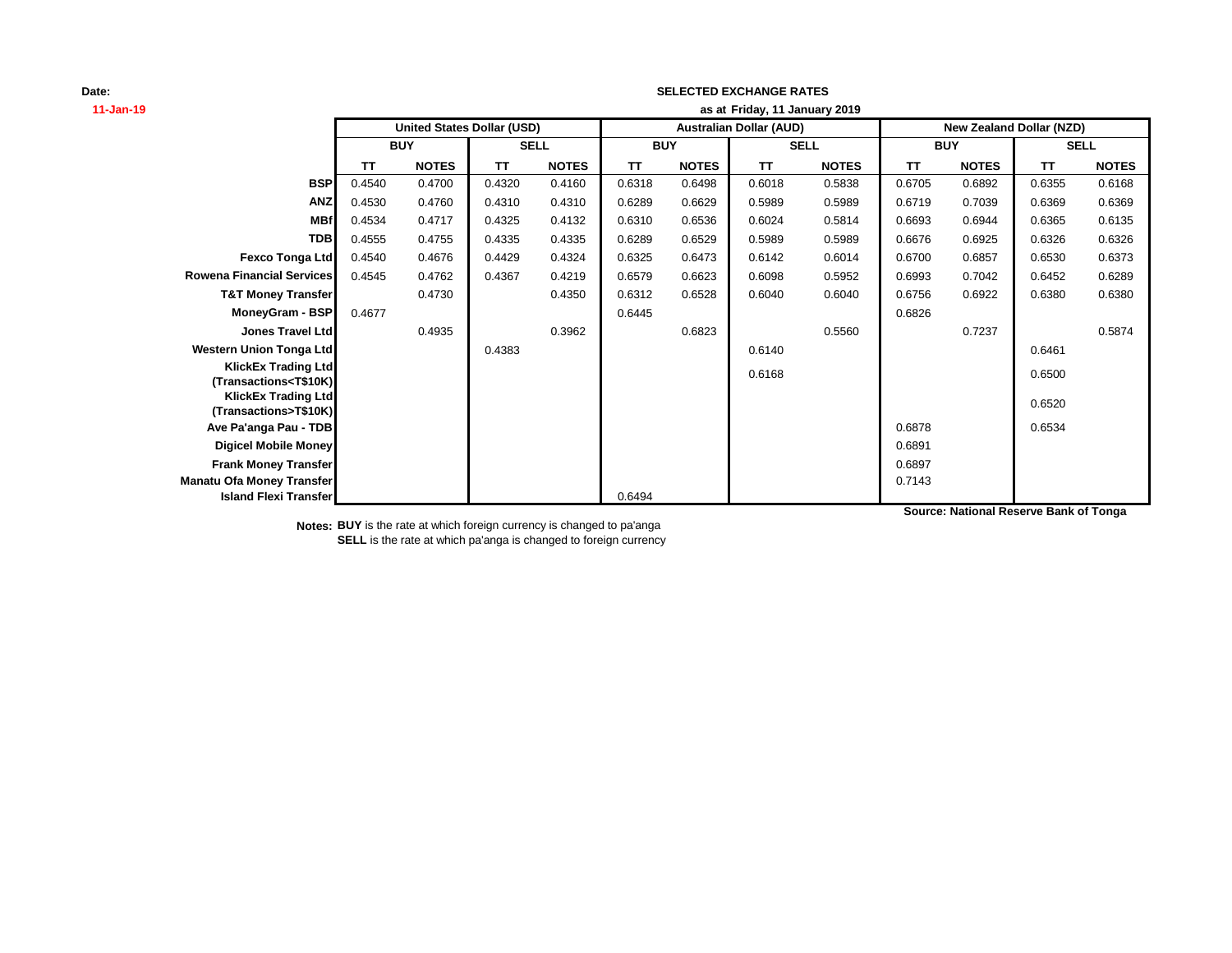#### **SELECTED EXCHANGE RATES**

| 11-Jan-19                                                                                       | as at Friday, 11 January 2019 |                                   |             |              |            |              |                                |              |                          |              |             |              |
|-------------------------------------------------------------------------------------------------|-------------------------------|-----------------------------------|-------------|--------------|------------|--------------|--------------------------------|--------------|--------------------------|--------------|-------------|--------------|
|                                                                                                 |                               | <b>United States Dollar (USD)</b> |             |              |            |              | <b>Australian Dollar (AUD)</b> |              | New Zealand Dollar (NZD) |              |             |              |
|                                                                                                 | <b>BUY</b>                    |                                   | <b>SELL</b> |              | <b>BUY</b> |              | <b>SELL</b>                    |              | <b>BUY</b>               |              | <b>SELL</b> |              |
|                                                                                                 | <b>TT</b>                     | <b>NOTES</b>                      | <b>TT</b>   | <b>NOTES</b> | <b>TT</b>  | <b>NOTES</b> | <b>TT</b>                      | <b>NOTES</b> | <b>TT</b>                | <b>NOTES</b> | <b>TT</b>   | <b>NOTES</b> |
| <b>BSP</b>                                                                                      | 0.4540                        | 0.4700                            | 0.4320      | 0.4160       | 0.6318     | 0.6498       | 0.6018                         | 0.5838       | 0.6705                   | 0.6892       | 0.6355      | 0.6168       |
| <b>ANZ</b>                                                                                      | 0.4530                        | 0.4760                            | 0.4310      | 0.4310       | 0.6289     | 0.6629       | 0.5989                         | 0.5989       | 0.6719                   | 0.7039       | 0.6369      | 0.6369       |
| <b>MBf</b>                                                                                      | 0.4534                        | 0.4717                            | 0.4325      | 0.4132       | 0.6310     | 0.6536       | 0.6024                         | 0.5814       | 0.6693                   | 0.6944       | 0.6365      | 0.6135       |
| <b>TDB</b>                                                                                      | 0.4555                        | 0.4755                            | 0.4335      | 0.4335       | 0.6289     | 0.6529       | 0.5989                         | 0.5989       | 0.6676                   | 0.6925       | 0.6326      | 0.6326       |
| Fexco Tonga Ltd                                                                                 | 0.4540                        | 0.4676                            | 0.4429      | 0.4324       | 0.6325     | 0.6473       | 0.6142                         | 0.6014       | 0.6700                   | 0.6857       | 0.6530      | 0.6373       |
| <b>Rowena Financial Services</b>                                                                | 0.4545                        | 0.4762                            | 0.4367      | 0.4219       | 0.6579     | 0.6623       | 0.6098                         | 0.5952       | 0.6993                   | 0.7042       | 0.6452      | 0.6289       |
| <b>T&amp;T Money Transfer</b>                                                                   |                               | 0.4730                            |             | 0.4350       | 0.6312     | 0.6528       | 0.6040                         | 0.6040       | 0.6756                   | 0.6922       | 0.6380      | 0.6380       |
| MoneyGram - BSP                                                                                 | 0.4677                        |                                   |             |              | 0.6445     |              |                                |              | 0.6826                   |              |             |              |
| <b>Jones Travel Ltd</b>                                                                         |                               | 0.4935                            |             | 0.3962       |            | 0.6823       |                                | 0.5560       |                          | 0.7237       |             | 0.5874       |
| <b>Western Union Tonga Ltd</b>                                                                  |                               |                                   | 0.4383      |              |            |              | 0.6140                         |              |                          |              | 0.6461      |              |
| <b>KlickEx Trading Ltd</b><br>(Transactions <t\$10k)<br><b>KlickEx Trading Ltd</b></t\$10k)<br> |                               |                                   |             |              |            |              | 0.6168                         |              |                          |              | 0.6500      |              |
| (Transactions>T\$10K)                                                                           |                               |                                   |             |              |            |              |                                |              |                          |              | 0.6520      |              |
| Ave Pa'anga Pau - TDB                                                                           |                               |                                   |             |              |            |              |                                |              | 0.6878                   |              | 0.6534      |              |
| <b>Digicel Mobile Money</b>                                                                     |                               |                                   |             |              |            |              |                                |              | 0.6891                   |              |             |              |
| <b>Frank Money Transfer</b>                                                                     |                               |                                   |             |              |            |              |                                |              | 0.6897                   |              |             |              |
| <b>Manatu Ofa Money Transfer</b>                                                                |                               |                                   |             |              |            |              |                                |              | 0.7143                   |              |             |              |
| <b>Island Flexi Transfer</b>                                                                    |                               |                                   |             |              | 0.6494     |              |                                |              |                          |              |             |              |

**Notes: BUY** is the rate at which foreign currency is changed to pa'anga **SELL** is the rate at which pa'anga is changed to foreign currency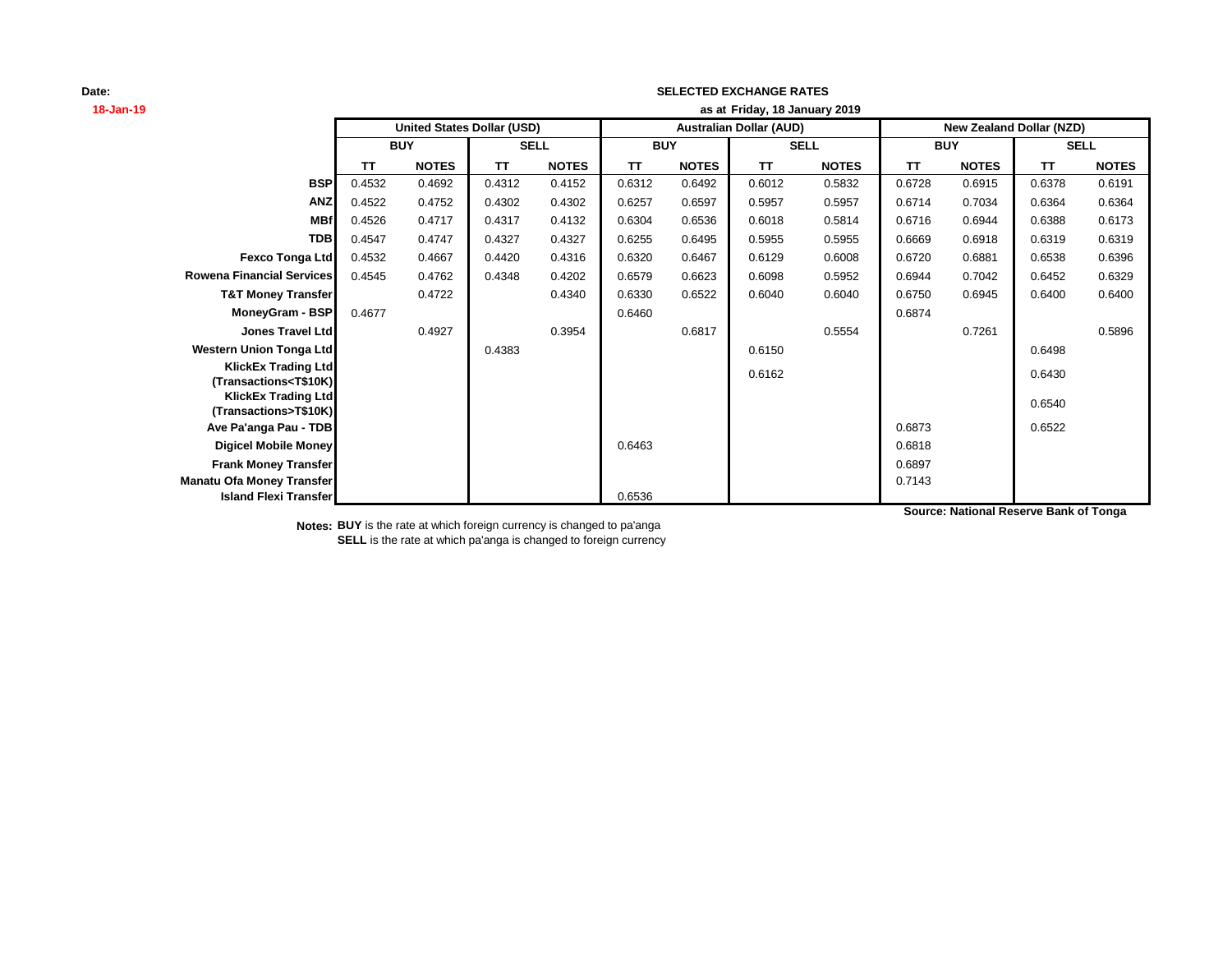### **SELECTED EXCHANGE RATES**

| 18-Jan-19                                                                                                                                                                                       | as at Friday, 18 January 2019 |                                   |             |              |            |              |                                |              |                          |              |             |              |
|-------------------------------------------------------------------------------------------------------------------------------------------------------------------------------------------------|-------------------------------|-----------------------------------|-------------|--------------|------------|--------------|--------------------------------|--------------|--------------------------|--------------|-------------|--------------|
|                                                                                                                                                                                                 |                               | <b>United States Dollar (USD)</b> |             |              |            |              | <b>Australian Dollar (AUD)</b> |              | New Zealand Dollar (NZD) |              |             |              |
|                                                                                                                                                                                                 | <b>BUY</b>                    |                                   | <b>SELL</b> |              | <b>BUY</b> |              | <b>SELL</b>                    |              | <b>BUY</b>               |              | <b>SELL</b> |              |
|                                                                                                                                                                                                 | <b>TT</b>                     | <b>NOTES</b>                      | <b>TT</b>   | <b>NOTES</b> | <b>TT</b>  | <b>NOTES</b> | <b>TT</b>                      | <b>NOTES</b> | <b>TT</b>                | <b>NOTES</b> | <b>TT</b>   | <b>NOTES</b> |
| <b>BSP</b>                                                                                                                                                                                      | 0.4532                        | 0.4692                            | 0.4312      | 0.4152       | 0.6312     | 0.6492       | 0.6012                         | 0.5832       | 0.6728                   | 0.6915       | 0.6378      | 0.6191       |
| <b>ANZ</b>                                                                                                                                                                                      | 0.4522                        | 0.4752                            | 0.4302      | 0.4302       | 0.6257     | 0.6597       | 0.5957                         | 0.5957       | 0.6714                   | 0.7034       | 0.6364      | 0.6364       |
| <b>MBf</b>                                                                                                                                                                                      | 0.4526                        | 0.4717                            | 0.4317      | 0.4132       | 0.6304     | 0.6536       | 0.6018                         | 0.5814       | 0.6716                   | 0.6944       | 0.6388      | 0.6173       |
| <b>TDB</b>                                                                                                                                                                                      | 0.4547                        | 0.4747                            | 0.4327      | 0.4327       | 0.6255     | 0.6495       | 0.5955                         | 0.5955       | 0.6669                   | 0.6918       | 0.6319      | 0.6319       |
| Fexco Tonga Ltd                                                                                                                                                                                 | 0.4532                        | 0.4667                            | 0.4420      | 0.4316       | 0.6320     | 0.6467       | 0.6129                         | 0.6008       | 0.6720                   | 0.6881       | 0.6538      | 0.6396       |
| <b>Rowena Financial Services</b>                                                                                                                                                                | 0.4545                        | 0.4762                            | 0.4348      | 0.4202       | 0.6579     | 0.6623       | 0.6098                         | 0.5952       | 0.6944                   | 0.7042       | 0.6452      | 0.6329       |
| <b>T&amp;T Money Transfer</b>                                                                                                                                                                   |                               | 0.4722                            |             | 0.4340       | 0.6330     | 0.6522       | 0.6040                         | 0.6040       | 0.6750                   | 0.6945       | 0.6400      | 0.6400       |
| MoneyGram - BSP                                                                                                                                                                                 | 0.4677                        |                                   |             |              | 0.6460     |              |                                |              | 0.6874                   |              |             |              |
| <b>Jones Travel Ltd</b>                                                                                                                                                                         |                               | 0.4927                            |             | 0.3954       |            | 0.6817       |                                | 0.5554       |                          | 0.7261       |             | 0.5896       |
| <b>Western Union Tonga Ltd</b>                                                                                                                                                                  |                               |                                   | 0.4383      |              |            |              | 0.6150                         |              |                          |              | 0.6498      |              |
| <b>KlickEx Trading Ltd</b><br>(Transactions <t\$10k)< th=""><th></th><th></th><th></th><th></th><th></th><th></th><th>0.6162</th><th></th><th></th><th></th><th>0.6430</th><th></th></t\$10k)<> |                               |                                   |             |              |            |              | 0.6162                         |              |                          |              | 0.6430      |              |
| <b>KlickEx Trading Ltd</b><br>(Transactions>T\$10K)                                                                                                                                             |                               |                                   |             |              |            |              |                                |              |                          |              | 0.6540      |              |
| Ave Pa'anga Pau - TDB                                                                                                                                                                           |                               |                                   |             |              |            |              |                                |              | 0.6873                   |              | 0.6522      |              |
| <b>Digicel Mobile Money</b>                                                                                                                                                                     |                               |                                   |             |              | 0.6463     |              |                                |              | 0.6818                   |              |             |              |
| <b>Frank Money Transfer</b>                                                                                                                                                                     |                               |                                   |             |              |            |              |                                |              | 0.6897                   |              |             |              |
| <b>Manatu Ofa Money Transfer</b>                                                                                                                                                                |                               |                                   |             |              |            |              |                                |              | 0.7143                   |              |             |              |
| <b>Island Flexi Transfer</b>                                                                                                                                                                    |                               |                                   |             |              | 0.6536     |              |                                |              |                          |              |             |              |

**Notes: BUY** is the rate at which foreign currency is changed to pa'anga **SELL** is the rate at which pa'anga is changed to foreign currency